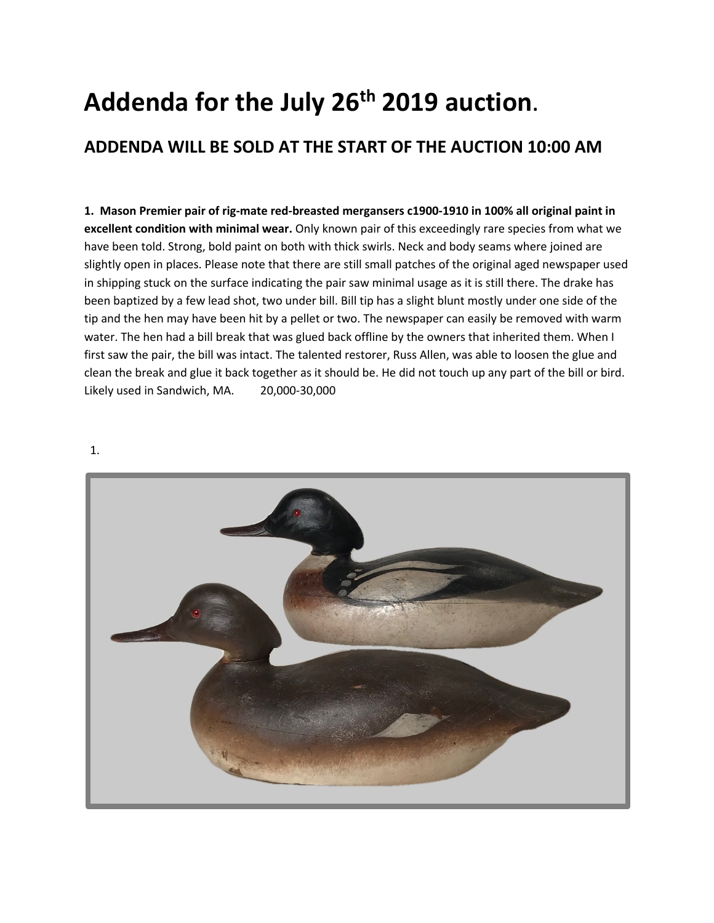## **Addenda for the July 26th 2019 auction**.

## **ADDENDA WILL BE SOLD AT THE START OF THE AUCTION 10:00 AM**

**1. Mason Premier pair of rig-mate red-breasted mergansers c1900-1910 in 100% all original paint in excellent condition with minimal wear.** Only known pair of this exceedingly rare species from what we have been told. Strong, bold paint on both with thick swirls. Neck and body seams where joined are slightly open in places. Please note that there are still small patches of the original aged newspaper used in shipping stuck on the surface indicating the pair saw minimal usage as it is still there. The drake has been baptized by a few lead shot, two under bill. Bill tip has a slight blunt mostly under one side of the tip and the hen may have been hit by a pellet or two. The newspaper can easily be removed with warm water. The hen had a bill break that was glued back offline by the owners that inherited them. When I first saw the pair, the bill was intact. The talented restorer, Russ Allen, was able to loosen the glue and clean the break and glue it back together as it should be. He did not touch up any part of the bill or bird. Likely used in Sandwich, MA. 20,000-30,000

1.